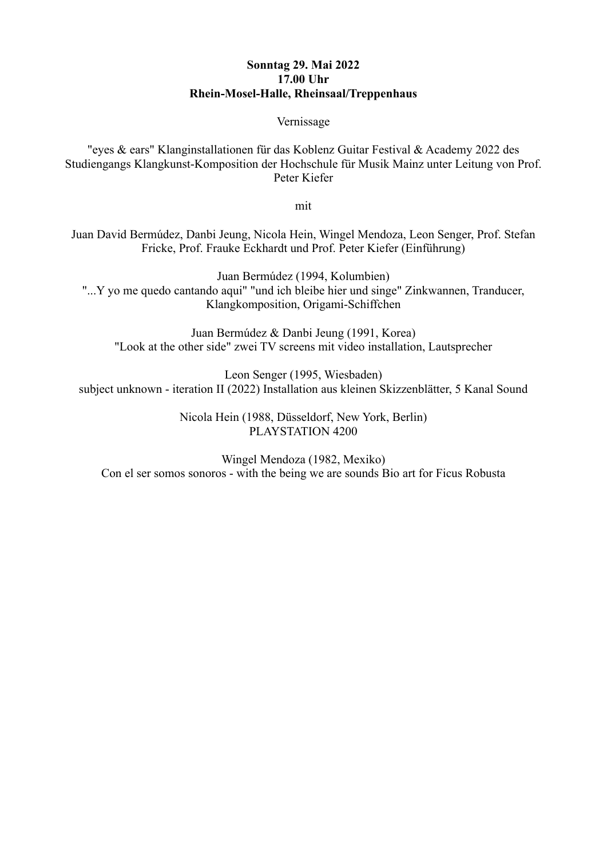## **Sonntag 29. Mai 2022 17.00 Uhr Rhein-Mosel-Halle, Rheinsaal/Treppenhaus**

#### Vernissage

"eyes & ears" Klanginstallationen für das Koblenz Guitar Festival & Academy 2022 des Studiengangs Klangkunst-Komposition der Hochschule für Musik Mainz unter Leitung von Prof. Peter Kiefer

mit

Juan David Bermúdez, Danbi Jeung, Nicola Hein, Wingel Mendoza, Leon Senger, Prof. Stefan Fricke, Prof. Frauke Eckhardt und Prof. Peter Kiefer (Einführung)

Juan Bermúdez (1994, Kolumbien) "...Y yo me quedo cantando aqui" "und ich bleibe hier und singe" Zinkwannen, Tranducer, Klangkomposition, Origami-Schiffchen

Juan Bermúdez & Danbi Jeung (1991, Korea) "Look at the other side" zwei TV screens mit video installation, Lautsprecher

Leon Senger (1995, Wiesbaden) subject unknown - iteration II (2022) Installation aus kleinen Skizzenblätter, 5 Kanal Sound

> Nicola Hein (1988, Düsseldorf, New York, Berlin) PLAYSTATION 4200

Wingel Mendoza (1982, Mexiko) Con el ser somos sonoros - with the being we are sounds Bio art for Ficus Robusta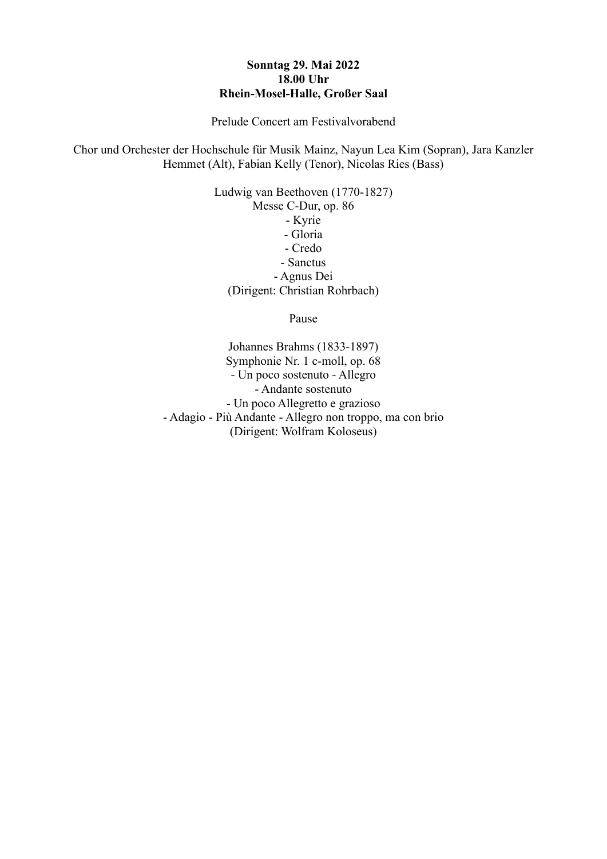## **Sonntag 29. Mai 2022 18.00 Uhr Rhein-Mosel-Halle, Großer Saal**

Prelude Concert am Festivalvorabend

Chor und Orchester der Hochschule für Musik Mainz, Nayun Lea Kim (Sopran), Jara Kanzler Hemmet (Alt), Fabian Kelly (Tenor), Nicolas Ries (Bass)

> Ludwig van Beethoven (1770-1827) Messe C-Dur, op. 86 - Kyrie - Gloria - Credo - Sanctus - Agnus Dei (Dirigent: Christian Rohrbach)

> > Pause

Johannes Brahms (1833-1897) Symphonie Nr. 1 c-moll, op. 68 - Un poco sostenuto - Allegro - Andante sostenuto - Un poco Allegretto e grazioso - Adagio - Più Andante - Allegro non troppo, ma con brio (Dirigent: Wolfram Koloseus)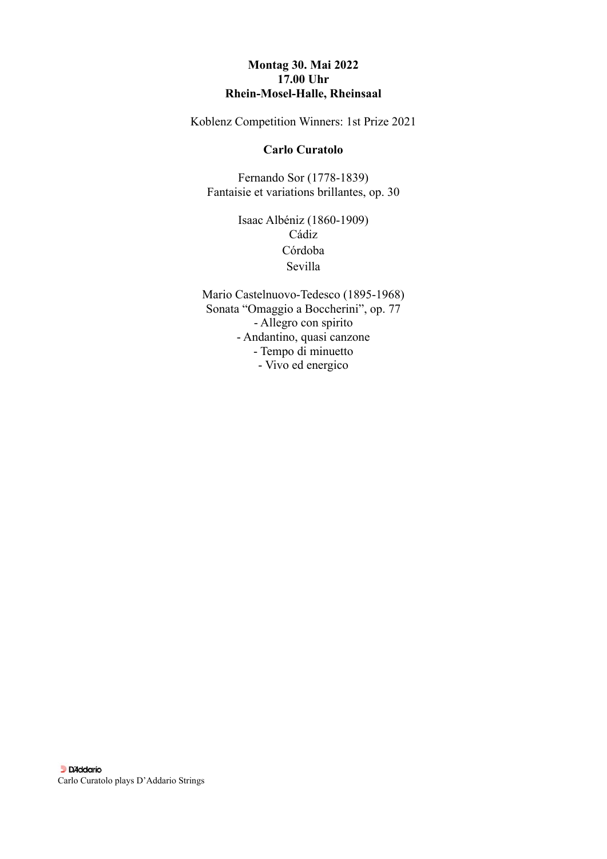## **Montag 30. Mai 2022 17.00 Uhr Rhein-Mosel-Halle, Rheinsaal**

Koblenz Competition Winners: 1st Prize 2021

#### **Carlo Curatolo**

Fernando Sor (1778-1839) Fantaisie et variations brillantes, op. 30

> Isaac Albéniz (1860-1909) Cádiz Córdoba Sevilla

Mario Castelnuovo-Tedesco (1895-1968) Sonata "Omaggio a Boccherini", op. 77 - Allegro con spirito - Andantino, quasi canzone - Tempo di minuetto - Vivo ed energico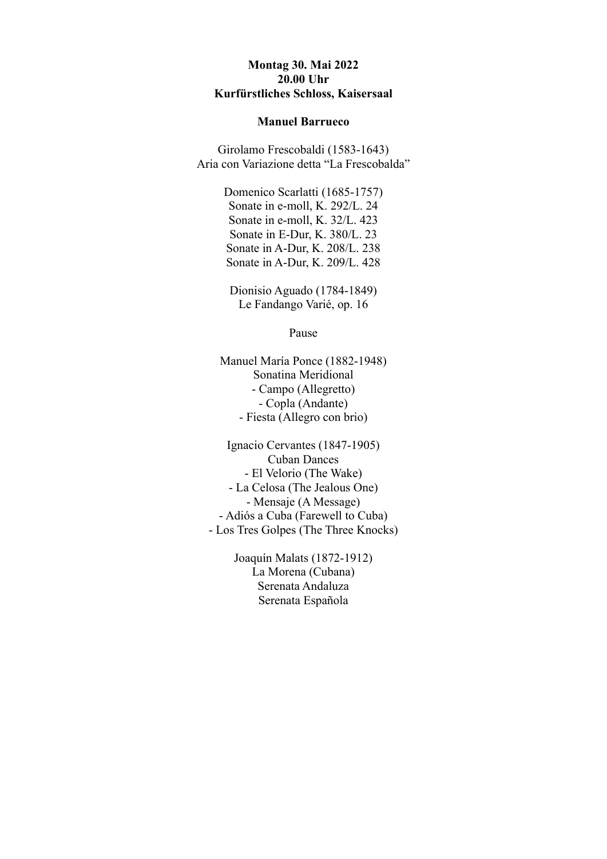#### **Montag 30. Mai 2022 20.00 Uhr Kurfürstliches Schloss, Kaisersaal**

#### **Manuel Barrueco**

Girolamo Frescobaldi (1583-1643) Aria con Variazione detta "La Frescobalda"

> Domenico Scarlatti (1685-1757) Sonate in e-moll, K. 292/L. 24 Sonate in e-moll, K. 32/L. 423 Sonate in E-Dur, K. 380/L. 23 Sonate in A-Dur, K. 208/L. 238 Sonate in A-Dur, K. 209/L. 428

Dionisio Aguado (1784-1849) Le Fandango Varié, op. 16

Pause

Manuel María Ponce (1882-1948) Sonatina Meridional - Campo (Allegretto) - Copla (Andante) - Fiesta (Allegro con brio)

Ignacio Cervantes (1847-1905) Cuban Dances - El Velorio (The Wake) - La Celosa (The Jealous One) - Mensaje (A Message) - Adiós a Cuba (Farewell to Cuba) - Los Tres Golpes (The Three Knocks)

> Joaquín Malats (1872-1912) La Morena (Cubana) Serenata Andaluza Serenata Española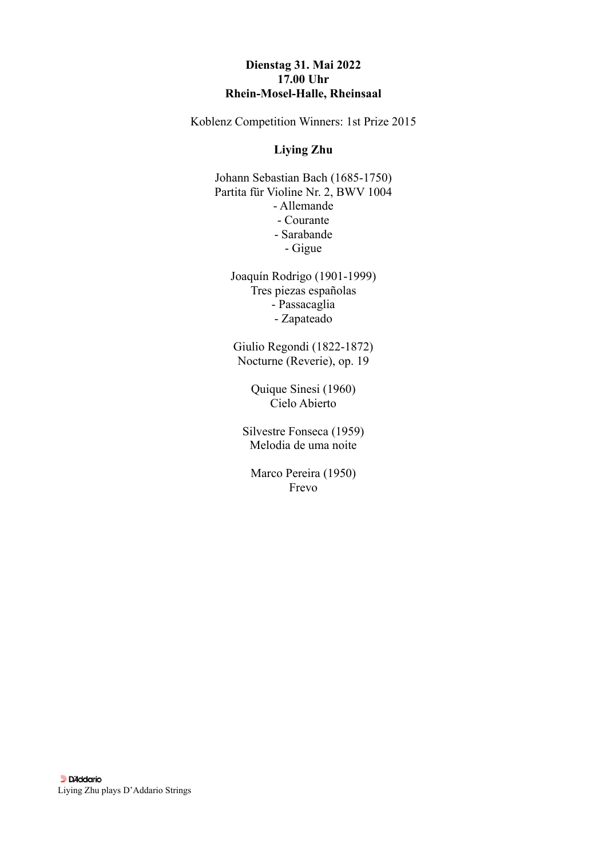## **Dienstag 31. Mai 2022 17.00 Uhr Rhein-Mosel-Halle, Rheinsaal**

Koblenz Competition Winners: 1st Prize 2015

## **Liying Zhu**

Johann Sebastian Bach (1685-1750) Partita für Violine Nr. 2, BWV 1004 - Allemande - Courante - Sarabande - Gigue

Joaquín Rodrigo (1901-1999) Tres piezas españolas - Passacaglia - Zapateado

Giulio Regondi (1822-1872) Nocturne (Reverie), op. 19

> Quique Sinesi (1960) Cielo Abierto

Silvestre Fonseca (1959) Melodia de uma noite

Marco Pereira (1950) Frevo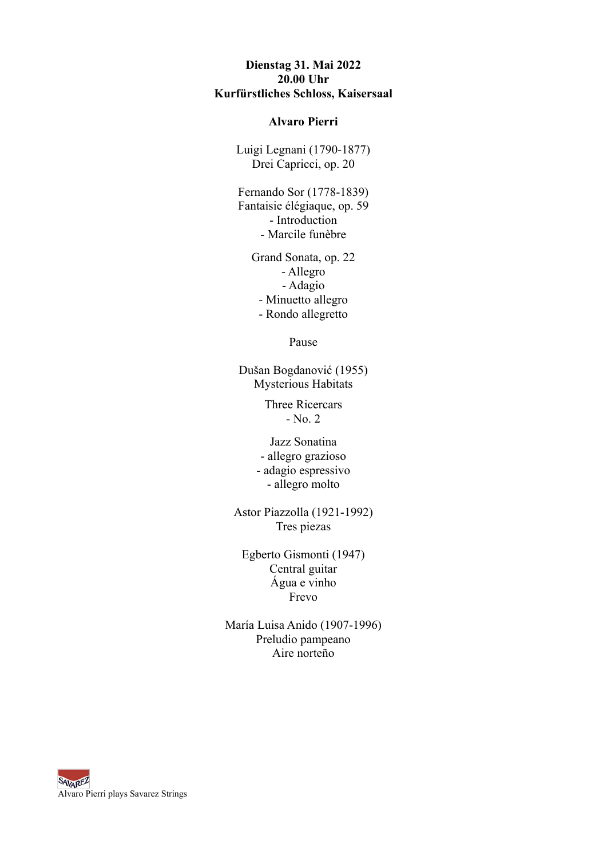## **Dienstag 31. Mai 2022 20.00 Uhr Kurfürstliches Schloss, Kaisersaal**

#### **Alvaro Pierri**

Luigi Legnani (1790-1877) Drei Capricci, op. 20

Fernando Sor (1778-1839) Fantaisie élégiaque, op. 59 - Introduction - Marcile funèbre

> Grand Sonata, op. 22 - Allegro - Adagio - Minuetto allegro - Rondo allegretto

> > Pause

Dušan Bogdanović (1955) Mysterious Habitats

> Three Ricercars - No. 2

Jazz Sonatina - allegro grazioso - adagio espressivo - allegro molto

Astor Piazzolla (1921-1992) Tres piezas

Egberto Gismonti (1947) Central guitar Água e vinho Frevo

María Luisa Anido (1907-1996) Preludio pampeano Aire norteño

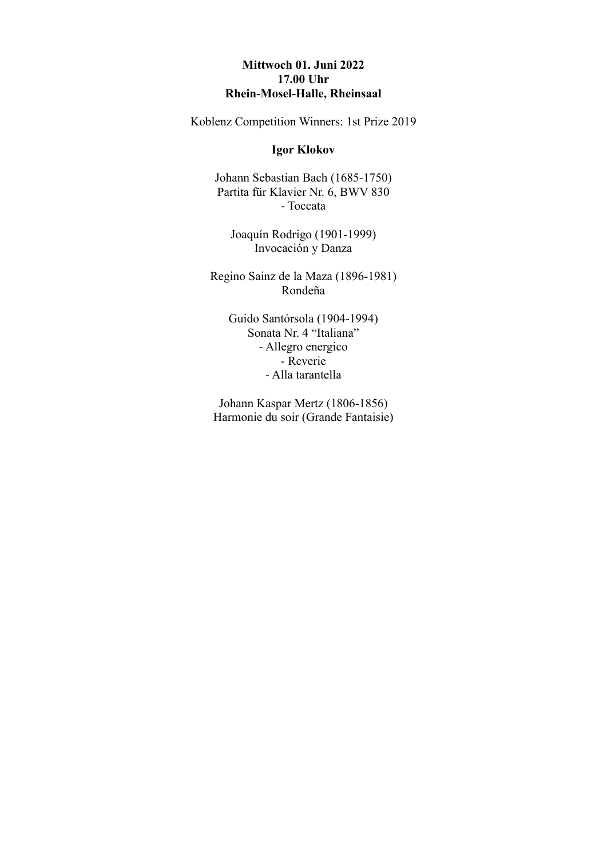## **Mittwoch 01. Juni 2022 17.00 Uhr Rhein-Mosel-Halle, Rheinsaal**

Koblenz Competition Winners: 1st Prize 2019

#### **Igor Klokov**

Johann Sebastian Bach (1685-1750) Partita für Klavier Nr. 6, BWV 830 - Toccata

Joaquín Rodrigo (1901-1999) Invocación y Danza

Regino Sainz de la Maza (1896-1981) Rondeña

Guido Santórsola (1904-1994) Sonata Nr. 4 "Italiana" - Allegro energico - Reverie - Alla tarantella

Johann Kaspar Mertz (1806-1856) Harmonie du soir (Grande Fantaisie)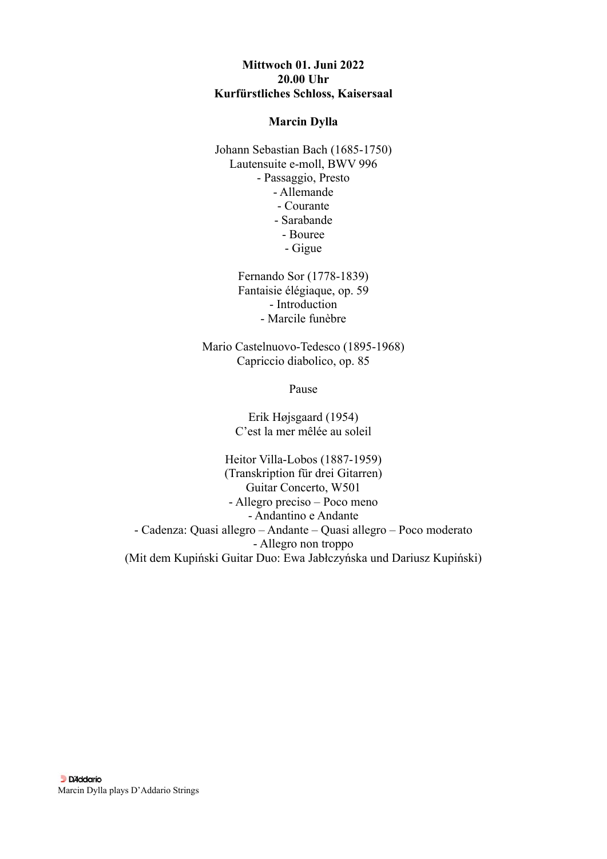## **Mittwoch 01. Juni 2022 20.00 Uhr Kurfürstliches Schloss, Kaisersaal**

#### **Marcin Dylla**

Johann Sebastian Bach (1685-1750) Lautensuite e-moll, BWV 996 - Passaggio, Presto - Allemande - Courante - Sarabande - Bouree - Gigue

> Fernando Sor (1778-1839) Fantaisie élégiaque, op. 59 - Introduction - Marcile funèbre

Mario Castelnuovo-Tedesco (1895-1968) Capriccio diabolico, op. 85

Pause

Erik Højsgaard (1954) C'est la mer mêlée au soleil

Heitor Villa-Lobos (1887-1959) (Transkription für drei Gitarren) Guitar Concerto, W501 - Allegro preciso – Poco meno - Andantino e Andante - Cadenza: Quasi allegro – Andante – Quasi allegro – Poco moderato - Allegro non troppo (Mit dem Kupiński Guitar Duo: Ewa Jabłczyńska und Dariusz Kupiński)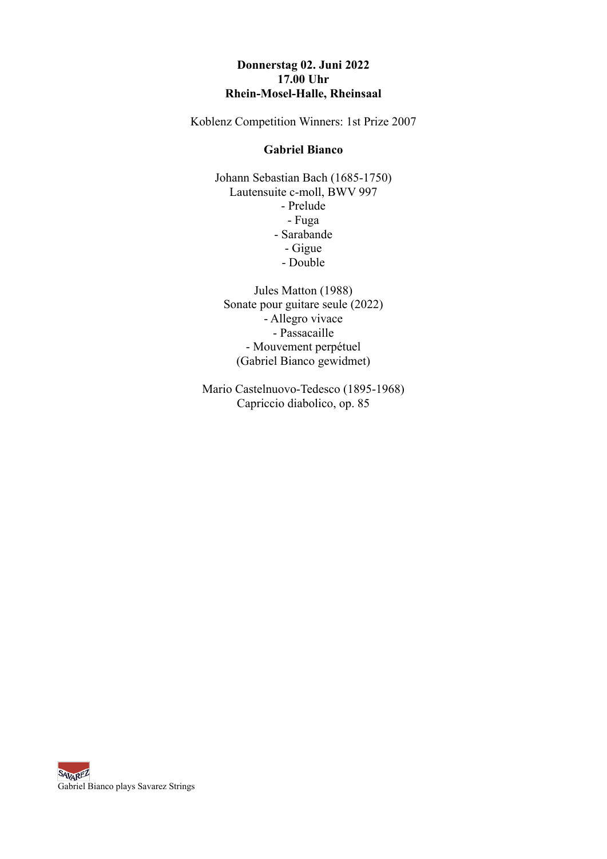# **Donnerstag 02. Juni 2022 17.00 Uhr Rhein-Mosel-Halle, Rheinsaal**

Koblenz Competition Winners: 1st Prize 2007

#### **Gabriel Bianco**

Johann Sebastian Bach (1685-1750) Lautensuite c-moll, BWV 997 - Prelude - Fuga - Sarabande - Gigue - Double

Jules Matton (1988) Sonate pour guitare seule (2022) - Allegro vivace - Passacaille - Mouvement perpétuel (Gabriel Bianco gewidmet)

Mario Castelnuovo-Tedesco (1895-1968) Capriccio diabolico, op. 85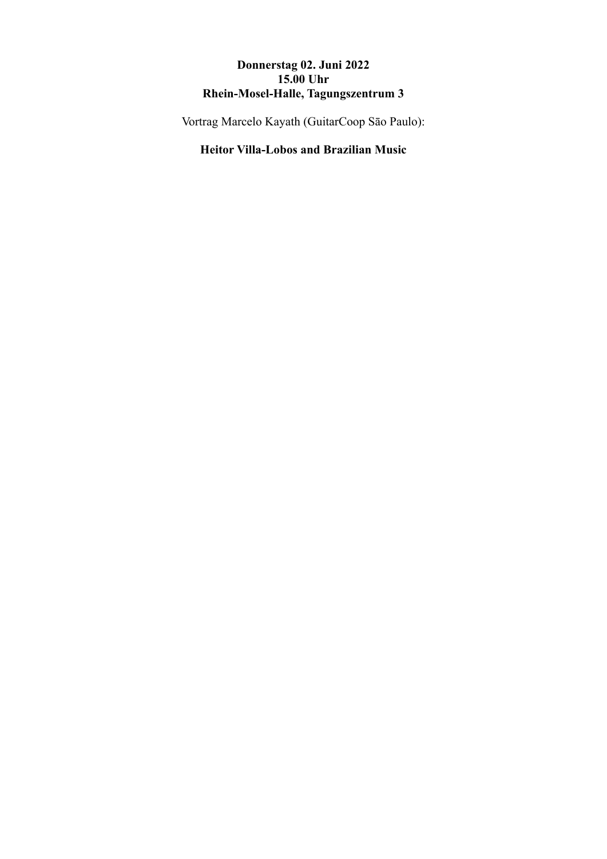# **Donnerstag 02. Juni 2022 15.00 Uhr Rhein-Mosel-Halle, Tagungszentrum 3**

Vortrag Marcelo Kayath (GuitarCoop Sāo Paulo):

# **Heitor Villa-Lobos and Brazilian Music**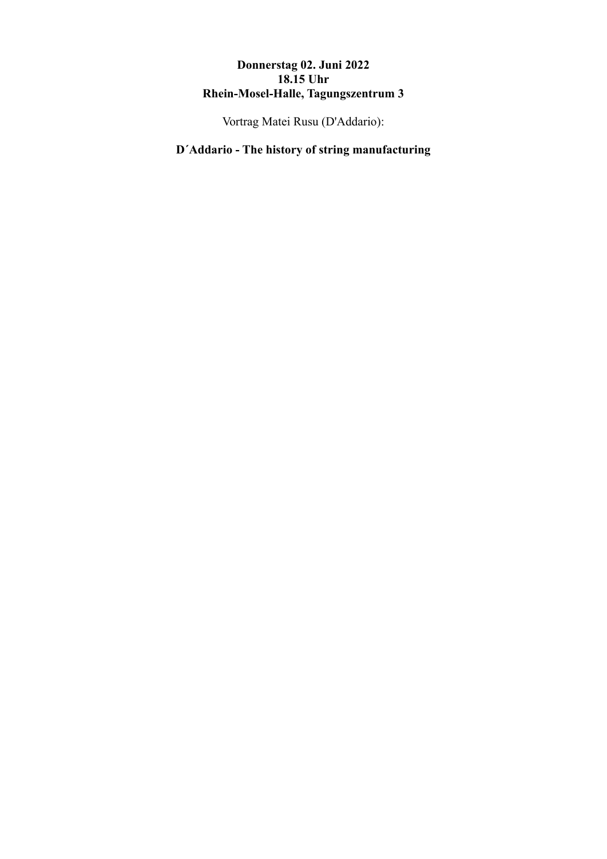# **Donnerstag 02. Juni 2022 18.15 Uhr Rhein-Mosel-Halle, Tagungszentrum 3**

Vortrag Matei Rusu (D'Addario):

# **D´Addario - The history of string manufacturing**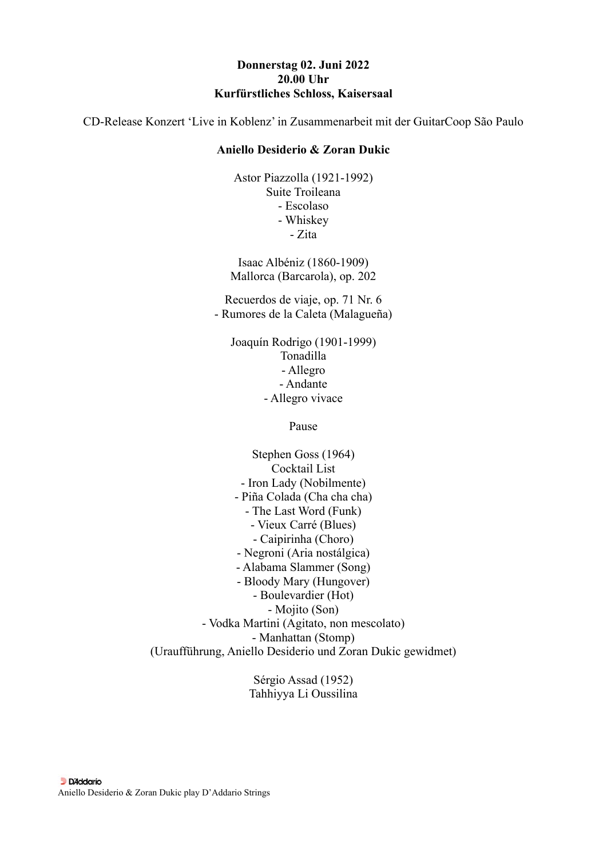#### **Donnerstag 02. Juni 2022 20.00 Uhr Kurfürstliches Schloss, Kaisersaal**

CD-Release Konzert 'Live in Koblenz' in Zusammenarbeit mit der GuitarCoop São Paulo

#### **Aniello Desiderio & Zoran Dukic**

Astor Piazzolla (1921-1992) Suite Troileana - Escolaso - Whiskey - Zita

Isaac Albéniz (1860-1909) Mallorca (Barcarola), op. 202

Recuerdos de viaje, op. 71 Nr. 6 - Rumores de la Caleta (Malagueña)

Joaquín Rodrigo (1901-1999) Tonadilla - Allegro - Andante - Allegro vivace

Pause

Stephen Goss (1964) Cocktail List - Iron Lady (Nobilmente) - Piña Colada (Cha cha cha) - The Last Word (Funk) - Vieux Carré (Blues) - Caipirinha (Choro) - Negroni (Aria nostálgica) - Alabama Slammer (Song) - Bloody Mary (Hungover) - Boulevardier (Hot) - Mojito (Son) - Vodka Martini (Agitato, non mescolato) - Manhattan (Stomp) (Uraufführung, Aniello Desiderio und Zoran Dukic gewidmet)

> Sérgio Assad (1952) Tahhiyya Li Oussilina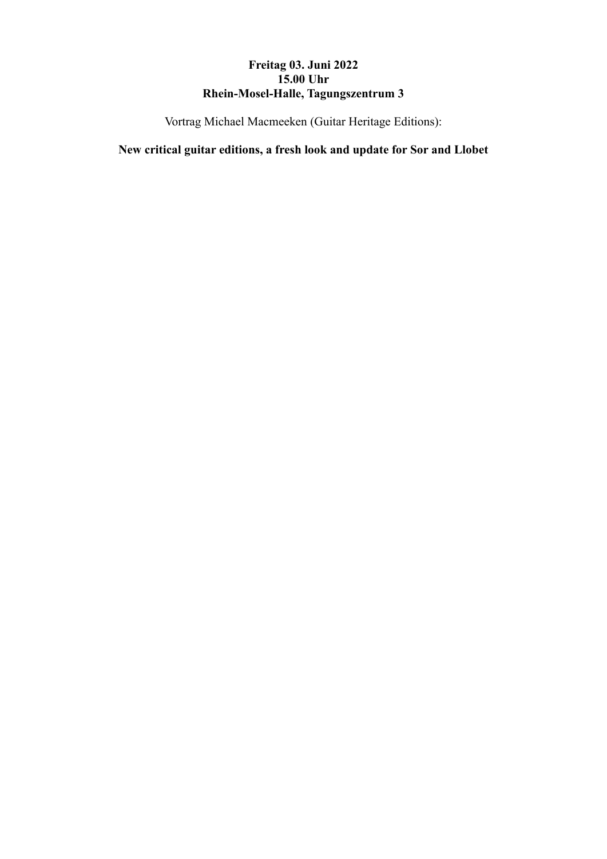# **Freitag 03. Juni 2022 15.00 Uhr Rhein-Mosel-Halle, Tagungszentrum 3**

Vortrag Michael Macmeeken (Guitar Heritage Editions):

**New critical guitar editions, a fresh look and update for Sor and Llobet**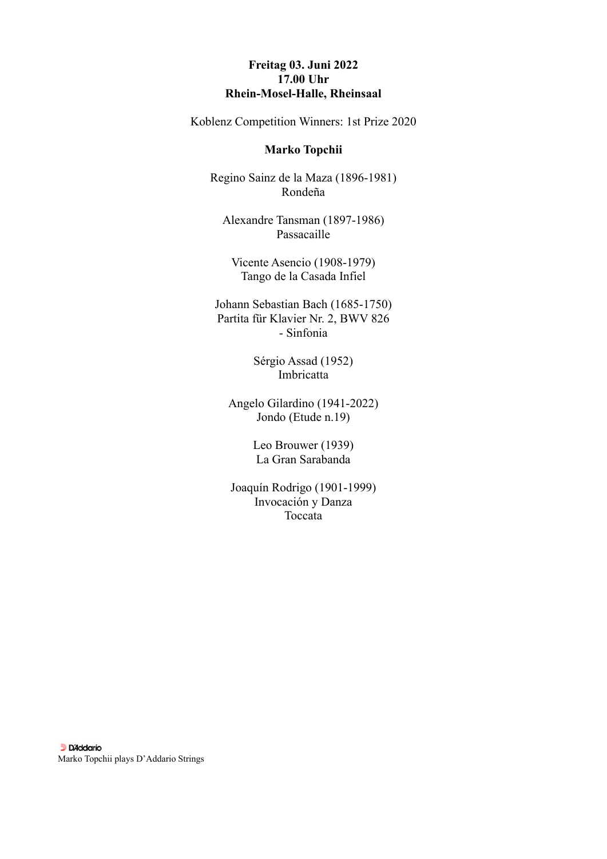## **Freitag 03. Juni 2022 17.00 Uhr Rhein-Mosel-Halle, Rheinsaal**

Koblenz Competition Winners: 1st Prize 2020

#### **Marko Topchii**

Regino Sainz de la Maza (1896-1981) Rondeña

Alexandre Tansman (1897-1986) Passacaille

Vicente Asencio (1908-1979) Tango de la Casada Infiel

Johann Sebastian Bach (1685-1750) Partita für Klavier Nr. 2, BWV 826 - Sinfonia

> Sérgio Assad (1952) Imbricatta

Angelo Gilardino (1941-2022) Jondo (Etude n.19)

> Leo Brouwer (1939) La Gran Sarabanda

Joaquín Rodrigo (1901-1999) Invocación y Danza Toccata

**Di** Di Addario Marko Topchii plays D'Addario Strings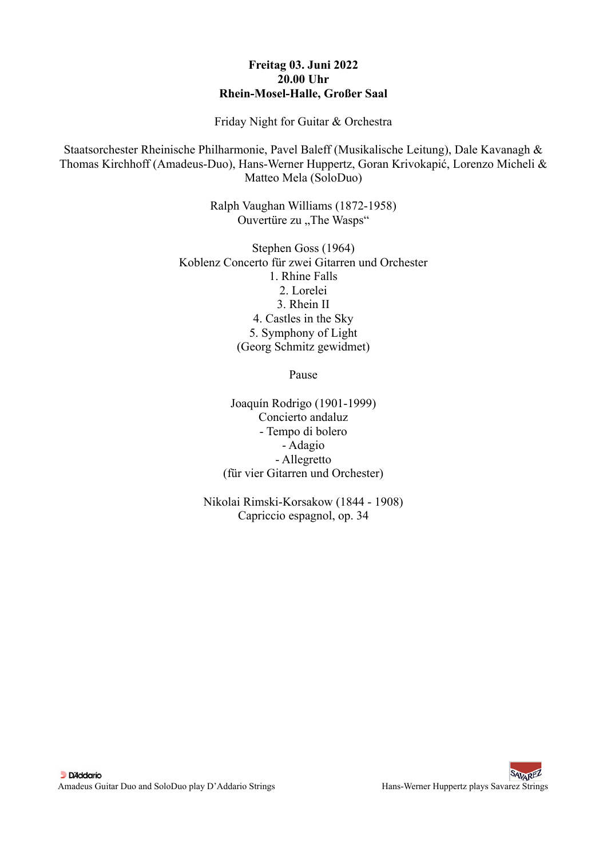## **Freitag 03. Juni 2022 20.00 Uhr Rhein-Mosel-Halle, Großer Saal**

Friday Night for Guitar & Orchestra

Staatsorchester Rheinische Philharmonie, Pavel Baleff (Musikalische Leitung), Dale Kavanagh & Thomas Kirchhoff (Amadeus-Duo), Hans-Werner Huppertz, Goran Krivokapić, Lorenzo Micheli & Matteo Mela (SoloDuo)

> Ralph Vaughan Williams (1872-1958) Ouvertüre zu "The Wasps"

Stephen Goss (1964) Koblenz Concerto für zwei Gitarren und Orchester 1. Rhine Falls 2. Lorelei 3. Rhein II 4. Castles in the Sky 5. Symphony of Light (Georg Schmitz gewidmet)

Pause

Joaquín Rodrigo (1901-1999) Concierto andaluz - Tempo di bolero - Adagio - Allegretto (für vier Gitarren und Orchester)

Nikolai Rimski-Korsakow (1844 - 1908) Capriccio espagnol, op. 34

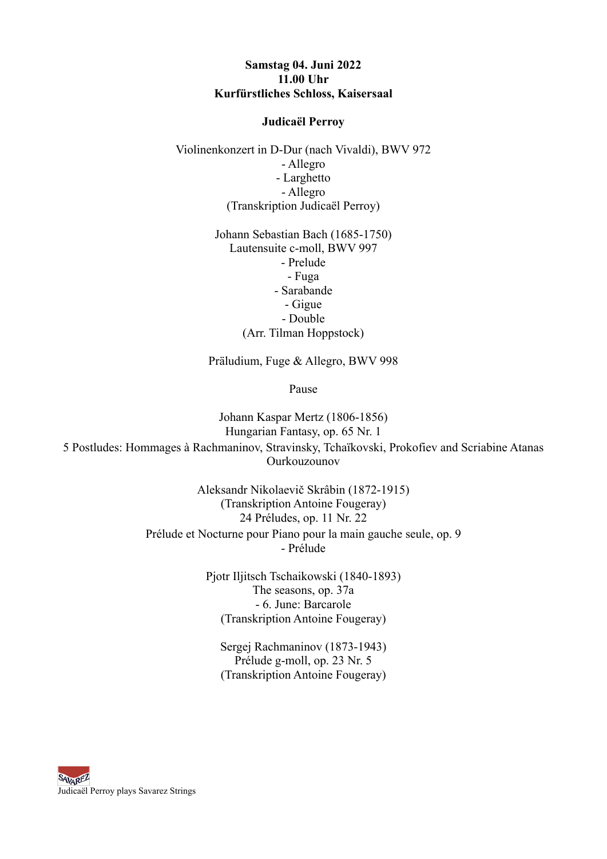## **Samstag 04. Juni 2022 11.00 Uhr Kurfürstliches Schloss, Kaisersaal**

#### **Judicaël Perroy**

Violinenkonzert in D-Dur (nach Vivaldi), BWV 972 - Allegro - Larghetto - Allegro (Transkription Judicaël Perroy)

> Johann Sebastian Bach (1685-1750) Lautensuite c-moll, BWV 997 - Prelude - Fuga - Sarabande - Gigue - Double (Arr. Tilman Hoppstock)

Präludium, Fuge & Allegro, BWV 998

Pause

Johann Kaspar Mertz (1806-1856) Hungarian Fantasy, op. 65 Nr. 1 5 Postludes: Hommages à Rachmaninov, Stravinsky, Tchaïkovski, Prokofiev and Scriabine Atanas Ourkouzounov

> Aleksandr Nikolaevič Skrâbin (1872-1915) (Transkription Antoine Fougeray) 24 Préludes, op. 11 Nr. 22 Prélude et Nocturne pour Piano pour la main gauche seule, op. 9 - Prélude

> > Pjotr Iljitsch Tschaikowski (1840-1893) The seasons, op. 37a - 6. June: Barcarole (Transkription Antoine Fougeray)

Sergej Rachmaninov (1873-1943) Prélude g-moll, op. 23 Nr. 5 (Transkription Antoine Fougeray)

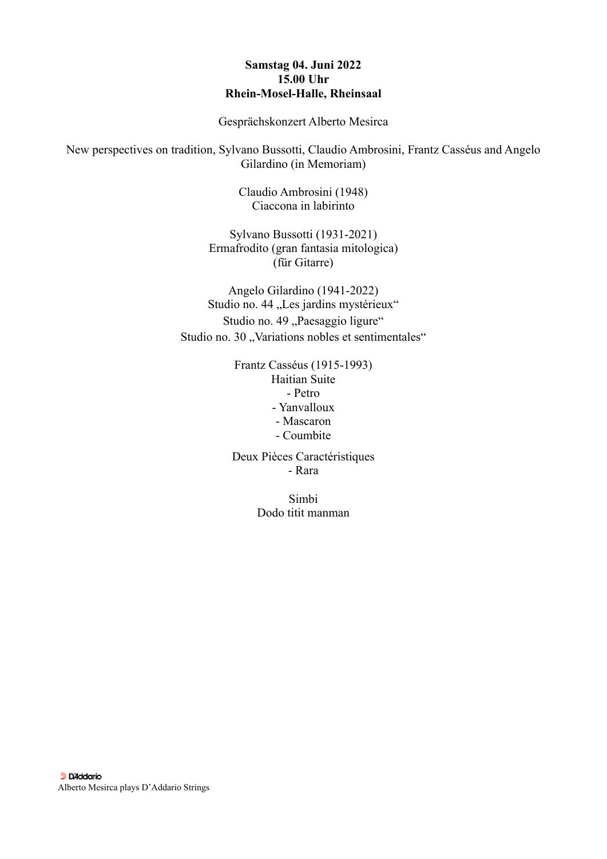## **Samstag 04. Juni 2022 15.00 Uhr Rhein-Mosel-Halle, Rheinsaal**

Gesprächskonzert Alberto Mesirca

New perspectives on tradition, Sylvano Bussotti, Claudio Ambrosini, Frantz Casséus and Angelo Gilardino (in Memoriam)

> Claudio Ambrosini (1948) Ciaccona in labirinto

Sylvano Bussotti (1931-2021) Ermafrodito (gran fantasia mitologica) (für Gitarre)

Angelo Gilardino (1941-2022) Studio no. 44 "Les jardins mystérieux" Studio no. 49 "Paesaggio ligure" Studio no. 30 "Variations nobles et sentimentales"

> Frantz Casséus (1915-1993) Haitian Suite - Petro - Yanvalloux - Mascaron - Coumbite

> Deux Pièces Caractéristiques - Rara

> > Simbi Dodo titit manman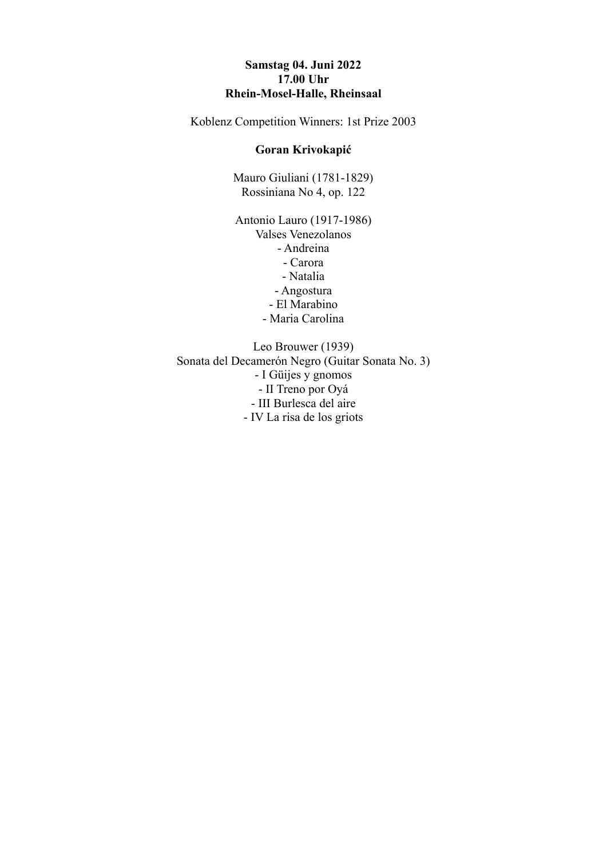## **Samstag 04. Juni 2022 17.00 Uhr Rhein-Mosel-Halle, Rheinsaal**

Koblenz Competition Winners: 1st Prize 2003

#### **Goran Krivokapić**

Mauro Giuliani (1781-1829) Rossiniana No 4, op. 122

Antonio Lauro (1917-1986) Valses Venezolanos - Andreina - Carora - Natalia - Angostura - El Marabino

- Maria Carolina

Leo Brouwer (1939) Sonata del Decamerón Negro (Guitar Sonata No. 3) - I Güijes y gnomos - II Treno por Oyá - III Burlesca del aire - IV La risa de los griots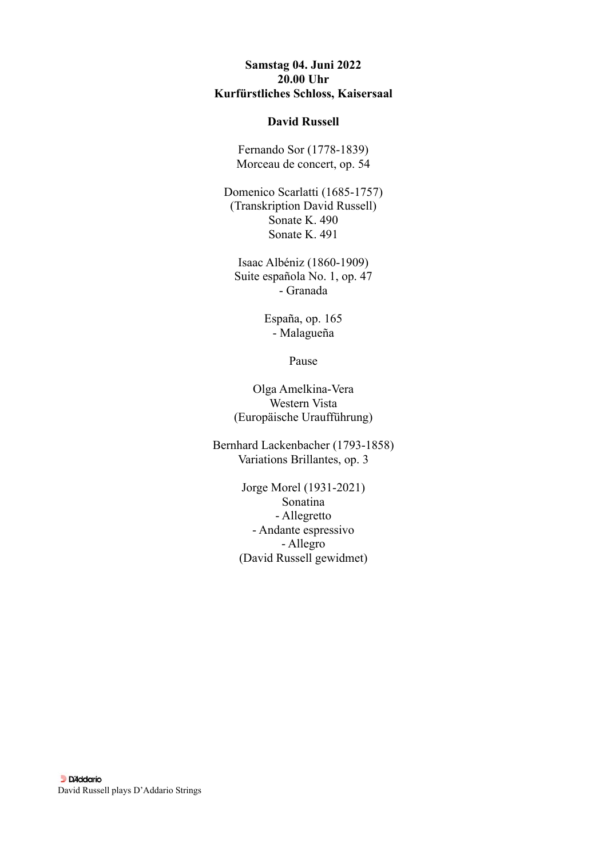## **Samstag 04. Juni 2022 20.00 Uhr Kurfürstliches Schloss, Kaisersaal**

#### **David Russell**

Fernando Sor (1778-1839) Morceau de concert, op. 54

Domenico Scarlatti (1685-1757) (Transkription David Russell) Sonate K. 490 Sonate K. 491

Isaac Albéniz (1860-1909) Suite española No. 1, op. 47 - Granada

> España, op. 165 - Malagueña

> > Pause

Olga Amelkina-Vera Western Vista (Europäische Uraufführung)

Bernhard Lackenbacher (1793-1858) Variations Brillantes, op. 3

> Jorge Morel (1931-2021) Sonatina - Allegretto - Andante espressivo - Allegro (David Russell gewidmet)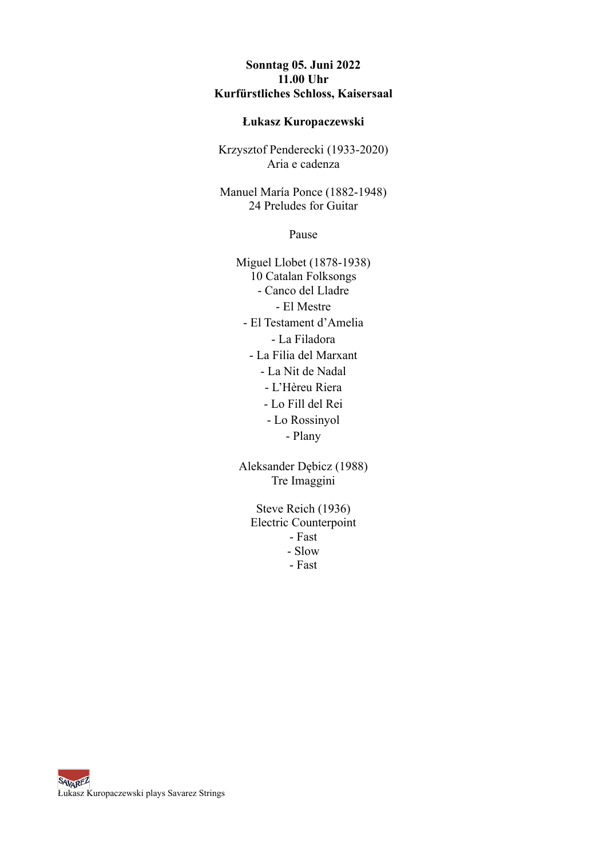## **Sonntag 05. Juni 2022 11.00 Uhr Kurfürstliches Schloss, Kaisersaal**

#### **Łukasz Kuropaczewski**

Krzysztof Penderecki (1933-2020) Aria e cadenza

Manuel María Ponce (1882-1948) 24 Preludes for Guitar

Pause

Miguel Llobet (1878-1938) 10 Catalan Folksongs - Canco del Lladre - El Mestre - El Testament d'Amelia - La Filadora - La Filia del Marxant - La Nit de Nadal - L'Hèreu Riera - Lo Fill del Rei - Lo Rossinyol - Plany

Aleksander Dębicz (1988) Tre Imaggini

> Steve Reich (1936) Electric Counterpoint - Fast - Slow - Fast

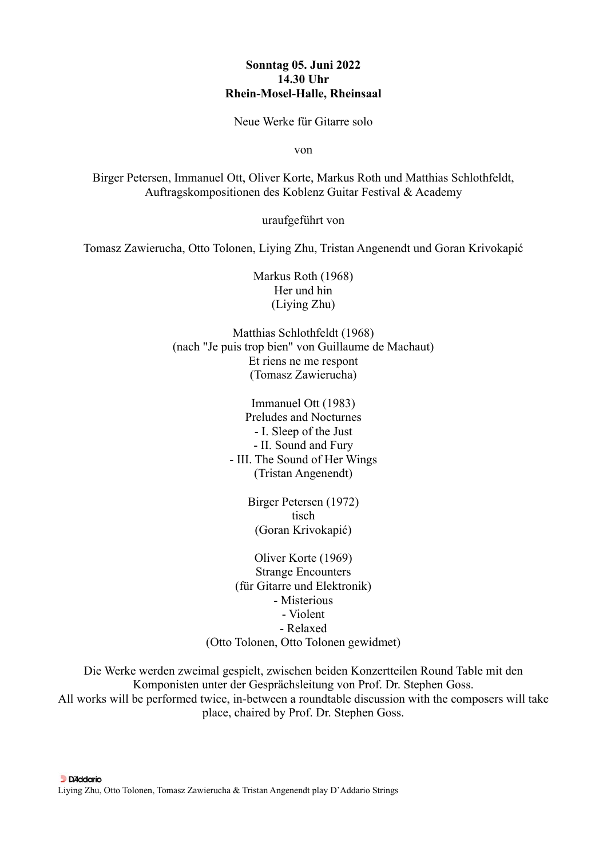#### **Sonntag 05. Juni 2022 14.30 Uhr Rhein-Mosel-Halle, Rheinsaal**

Neue Werke für Gitarre solo

von

Birger Petersen, Immanuel Ott, Oliver Korte, Markus Roth und Matthias Schlothfeldt, Auftragskompositionen des Koblenz Guitar Festival & Academy

uraufgeführt von

Tomasz Zawierucha, Otto Tolonen, Liying Zhu, Tristan Angenendt und Goran Krivokapić

Markus Roth (1968) Her und hin (Liying Zhu)

Matthias Schlothfeldt (1968) (nach "Je puis trop bien" von Guillaume de Machaut) Et riens ne me respont (Tomasz Zawierucha)

> Immanuel Ott (1983) Preludes and Nocturnes - I. Sleep of the Just - II. Sound and Fury - III. The Sound of Her Wings (Tristan Angenendt)

> > Birger Petersen (1972) tisch (Goran Krivokapić)

Oliver Korte (1969) Strange Encounters (für Gitarre und Elektronik) - Misterious - Violent - Relaxed (Otto Tolonen, Otto Tolonen gewidmet)

Die Werke werden zweimal gespielt, zwischen beiden Konzertteilen Round Table mit den Komponisten unter der Gesprächsleitung von Prof. Dr. Stephen Goss. All works will be performed twice, in-between a roundtable discussion with the composers will take place, chaired by Prof. Dr. Stephen Goss.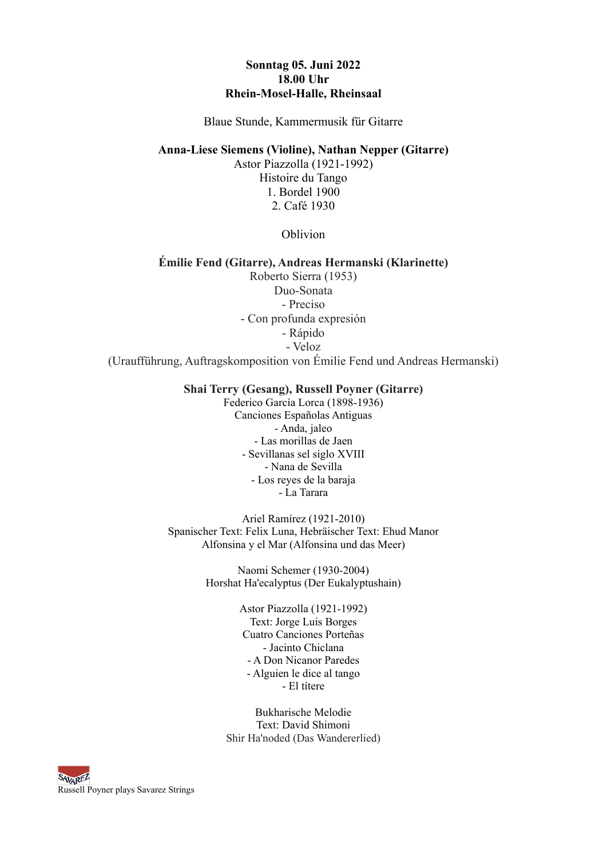#### **Sonntag 05. Juni 2022 18.00 Uhr Rhein-Mosel-Halle, Rheinsaal**

Blaue Stunde, Kammermusik für Gitarre

**Anna-Liese Siemens (Violine), Nathan Nepper (Gitarre)** 

Astor Piazzolla (1921-1992) Histoire du Tango 1. Bordel 1900 2. Café 1930

Oblivion

# **Émilie Fend (Gitarre), Andreas Hermanski (Klarinette)**

Roberto Sierra (1953) Duo-Sonata - Preciso - Con profunda expresión - Rápido - Veloz

(Uraufführung, Auftragskomposition von Émilie Fend und Andreas Hermanski)

#### **Shai Terry (Gesang), Russell Poyner (Gitarre)**

Federico García Lorca (1898-1936) Canciones Españolas Antiguas - Anda, jaleo - Las morillas de Jaen - Sevillanas sel siglo XVIII - Nana de Sevilla - Los reyes de la baraja - La Tarara

Ariel Ramírez (1921-2010) Spanischer Text: Felix Luna, Hebräischer Text: Ehud Manor Alfonsina y el Mar (Alfonsina und das Meer)

> Naomi Schemer (1930-2004) Horshat Ha'ecalyptus (Der Eukalyptushain)

> > Astor Piazzolla (1921-1992) Text: Jorge Luis Borges Cuatro Canciones Porteñas - Jacinto Chiclana - A Don Nicanor Paredes - Alguien le dice al tango - El títere

Bukharische Melodie Text: David Shimoni Shir Ha'noded (Das Wandererlied)

**SAVAREZ** Russell Poyner plays Savarez Strings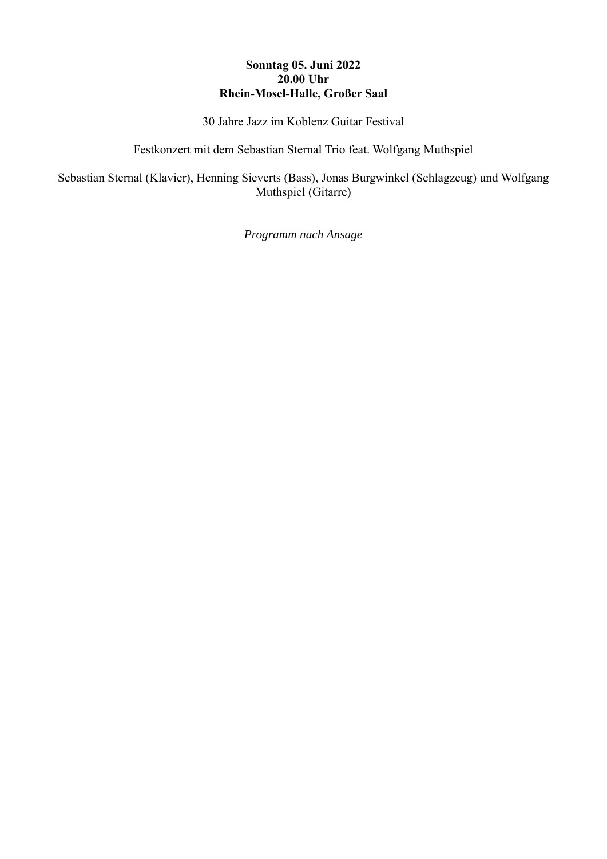# **Sonntag 05. Juni 2022 20.00 Uhr Rhein-Mosel-Halle, Großer Saal**

30 Jahre Jazz im Koblenz Guitar Festival

Festkonzert mit dem Sebastian Sternal Trio feat. Wolfgang Muthspiel

Sebastian Sternal (Klavier), Henning Sieverts (Bass), Jonas Burgwinkel (Schlagzeug) und Wolfgang Muthspiel (Gitarre)

*Programm nach Ansage*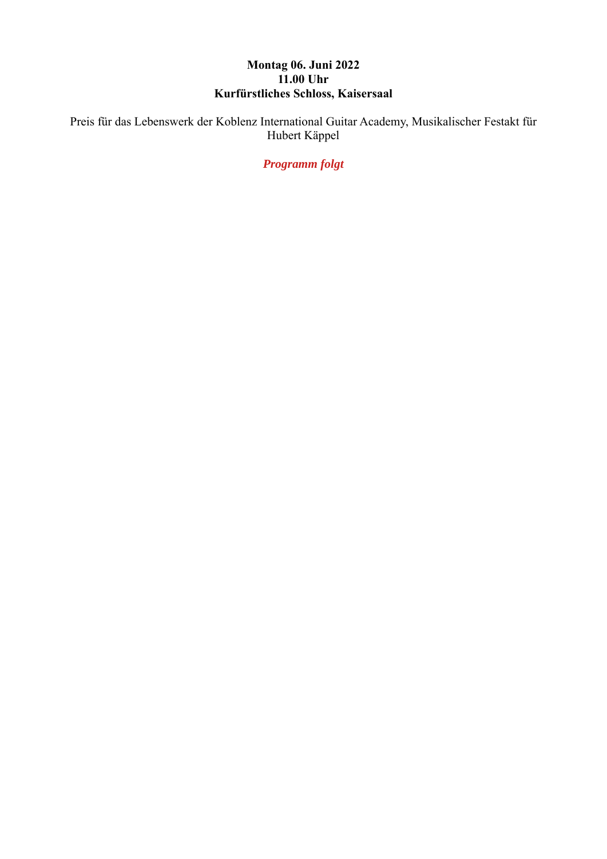# **Montag 06. Juni 2022 11.00 Uhr Kurfürstliches Schloss, Kaisersaal**

Preis für das Lebenswerk der Koblenz International Guitar Academy, Musikalischer Festakt für Hubert Käppel

*Programm folgt*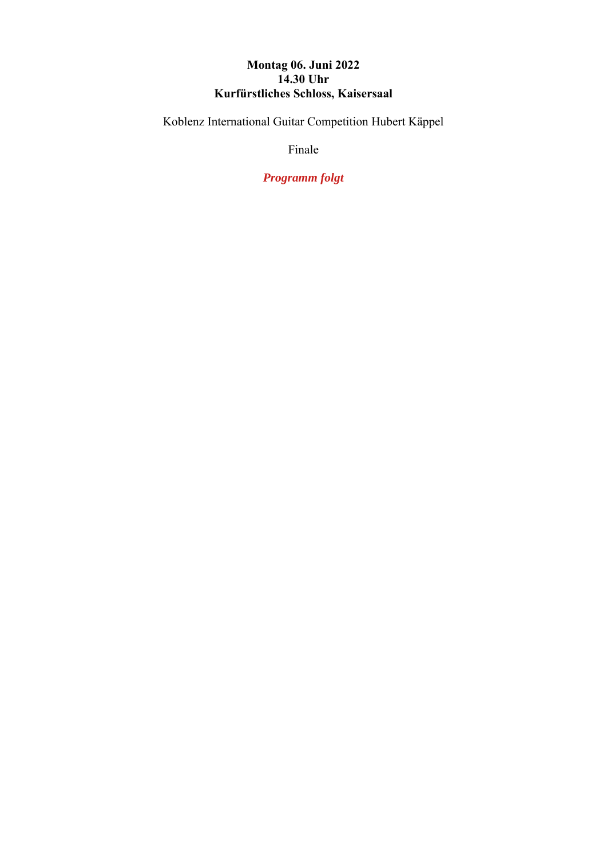# **Montag 06. Juni 2022 14.30 Uhr Kurfürstliches Schloss, Kaisersaal**

Koblenz International Guitar Competition Hubert Käppel

Finale

*Programm folgt*